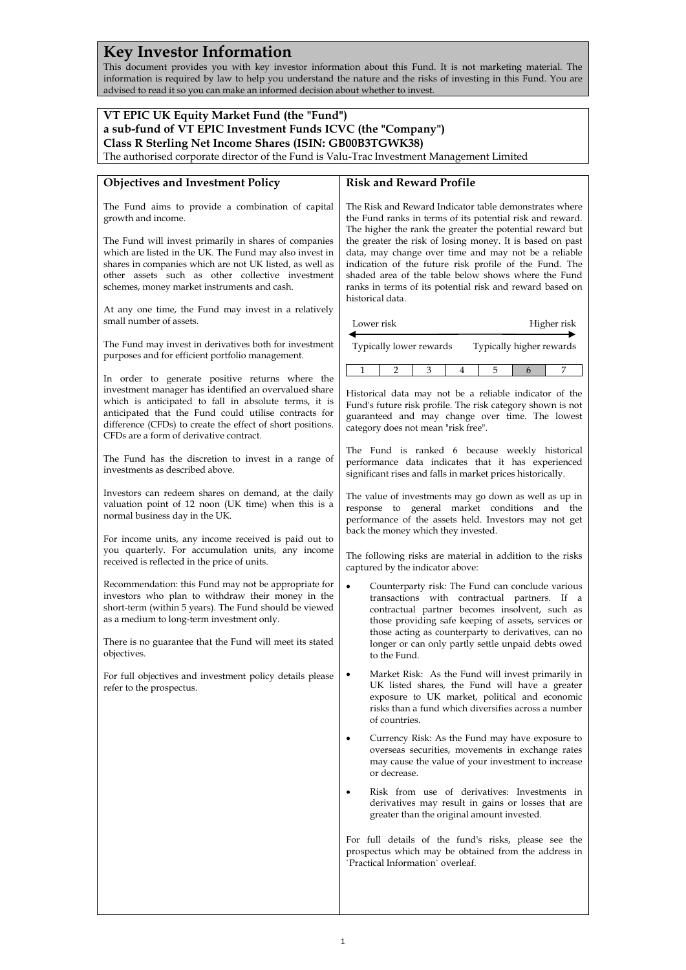## **Key Investor Information**

This document provides you with key investor information about this Fund. It is not marketing material. The information is required by law to help you understand the nature and the risks of investing in this Fund. You are advised to read it so you can make an informed decision about whether to invest.

| VT EPIC UK Equity Market Fund (the "Fund")                                                                                                                                                                                                                                       |                                                                                                                                                                                                                                                                                                                                                                                                                                                                                                       |  |
|----------------------------------------------------------------------------------------------------------------------------------------------------------------------------------------------------------------------------------------------------------------------------------|-------------------------------------------------------------------------------------------------------------------------------------------------------------------------------------------------------------------------------------------------------------------------------------------------------------------------------------------------------------------------------------------------------------------------------------------------------------------------------------------------------|--|
| a sub-fund of VT EPIC Investment Funds ICVC (the "Company")                                                                                                                                                                                                                      |                                                                                                                                                                                                                                                                                                                                                                                                                                                                                                       |  |
| Class R Sterling Net Income Shares (ISIN: GB00B3TGWK38)                                                                                                                                                                                                                          |                                                                                                                                                                                                                                                                                                                                                                                                                                                                                                       |  |
| The authorised corporate director of the Fund is Valu-Trac Investment Management Limited                                                                                                                                                                                         |                                                                                                                                                                                                                                                                                                                                                                                                                                                                                                       |  |
|                                                                                                                                                                                                                                                                                  |                                                                                                                                                                                                                                                                                                                                                                                                                                                                                                       |  |
| <b>Objectives and Investment Policy</b>                                                                                                                                                                                                                                          | <b>Risk and Reward Profile</b>                                                                                                                                                                                                                                                                                                                                                                                                                                                                        |  |
| The Fund aims to provide a combination of capital<br>growth and income.                                                                                                                                                                                                          | The Risk and Reward Indicator table demonstrates where<br>the Fund ranks in terms of its potential risk and reward.<br>The higher the rank the greater the potential reward but<br>the greater the risk of losing money. It is based on past<br>data, may change over time and may not be a reliable<br>indication of the future risk profile of the Fund. The<br>shaded area of the table below shows where the Fund<br>ranks in terms of its potential risk and reward based on<br>historical data. |  |
| The Fund will invest primarily in shares of companies<br>which are listed in the UK. The Fund may also invest in<br>shares in companies which are not UK listed, as well as<br>other assets such as other collective investment<br>schemes, money market instruments and cash.   |                                                                                                                                                                                                                                                                                                                                                                                                                                                                                                       |  |
| At any one time, the Fund may invest in a relatively<br>small number of assets.                                                                                                                                                                                                  | Lower risk<br>Higher risk                                                                                                                                                                                                                                                                                                                                                                                                                                                                             |  |
| The Fund may invest in derivatives both for investment<br>purposes and for efficient portfolio management.                                                                                                                                                                       | Typically lower rewards<br>Typically higher rewards                                                                                                                                                                                                                                                                                                                                                                                                                                                   |  |
| In order to generate positive returns where the                                                                                                                                                                                                                                  | 1<br>3<br>4<br>5<br>7<br>2<br>6                                                                                                                                                                                                                                                                                                                                                                                                                                                                       |  |
| investment manager has identified an overvalued share<br>which is anticipated to fall in absolute terms, it is<br>anticipated that the Fund could utilise contracts for<br>difference (CFDs) to create the effect of short positions.<br>CFDs are a form of derivative contract. | Historical data may not be a reliable indicator of the<br>Fund's future risk profile. The risk category shown is not<br>guaranteed and may change over time. The lowest<br>category does not mean "risk free".                                                                                                                                                                                                                                                                                        |  |
| The Fund has the discretion to invest in a range of<br>investments as described above.                                                                                                                                                                                           | The Fund is ranked 6 because weekly historical<br>performance data indicates that it has experienced<br>significant rises and falls in market prices historically.                                                                                                                                                                                                                                                                                                                                    |  |
| Investors can redeem shares on demand, at the daily<br>valuation point of 12 noon (UK time) when this is a<br>normal business day in the UK.<br>For income units, any income received is paid out to                                                                             | The value of investments may go down as well as up in<br>response to general market conditions and the<br>performance of the assets held. Investors may not get<br>back the money which they invested.                                                                                                                                                                                                                                                                                                |  |
| you quarterly. For accumulation units, any income<br>received is reflected in the price of units.                                                                                                                                                                                | The following risks are material in addition to the risks<br>captured by the indicator above:                                                                                                                                                                                                                                                                                                                                                                                                         |  |
| Recommendation: this Fund may not be appropriate for<br>investors who plan to withdraw their money in the<br>short-term (within 5 years). The Fund should be viewed<br>as a medium to long-term investment only.                                                                 | Counterparty risk: The Fund can conclude various<br>$\bullet$<br>transactions with contractual partners. If a<br>contractual partner becomes insolvent, such as<br>those providing safe keeping of assets, services or<br>those acting as counterparty to derivatives, can no                                                                                                                                                                                                                         |  |
| There is no guarantee that the Fund will meet its stated<br>objectives.                                                                                                                                                                                                          | longer or can only partly settle unpaid debts owed<br>to the Fund.                                                                                                                                                                                                                                                                                                                                                                                                                                    |  |
| For full objectives and investment policy details please<br>refer to the prospectus.                                                                                                                                                                                             | Market Risk: As the Fund will invest primarily in<br>UK listed shares, the Fund will have a greater<br>exposure to UK market, political and economic<br>risks than a fund which diversifies across a number<br>of countries.                                                                                                                                                                                                                                                                          |  |
|                                                                                                                                                                                                                                                                                  | Currency Risk: As the Fund may have exposure to<br>٠<br>overseas securities, movements in exchange rates<br>may cause the value of your investment to increase<br>or decrease.                                                                                                                                                                                                                                                                                                                        |  |
|                                                                                                                                                                                                                                                                                  | Risk from use of derivatives: Investments in<br>derivatives may result in gains or losses that are<br>greater than the original amount invested.                                                                                                                                                                                                                                                                                                                                                      |  |
|                                                                                                                                                                                                                                                                                  | For full details of the fund's risks, please see the<br>prospectus which may be obtained from the address in<br>`Practical Information` overleaf.                                                                                                                                                                                                                                                                                                                                                     |  |
|                                                                                                                                                                                                                                                                                  |                                                                                                                                                                                                                                                                                                                                                                                                                                                                                                       |  |